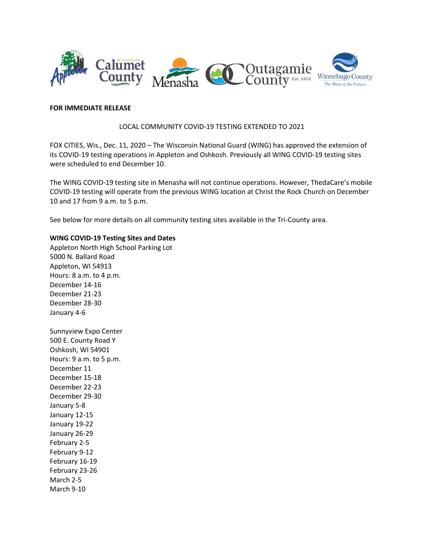

## **FOR IMMEDIATE RELEASE**

## LOCAL COMMUNITY COVID-19 TESTING EXTENDED TO 2021

FOX CITIES, Wis., Dec. 11, 2020 – The Wisconsin National Guard (WING) has approved the extension of its COVID-19 testing operations in Appleton and Oshkosh. Previously all WING COVID-19 testing sites were scheduled to end December 10.

The WING COVID-19 testing site in Menasha will not continue operations. However, ThedaCare's mobile COVID-19 testing will operate from the previous WING location at Christ the Rock Church on December 10 and 17 from 9 a.m. to 5 p.m.

See below for more details on all community testing sites available in the Tri-County area.

## **WING COVID-19 Testing Sites and Dates**

Appleton North High School Parking Lot 5000 N. Ballard Road Appleton, WI 54913 Hours: 8 a.m. to 4 p.m. December 14-16 December 21-23 December 28-30 January 4-6

Sunnyview Expo Center 500 E. County Road Y Oshkosh, WI 54901 Hours: 9 a.m. to 5 p.m. December 11 December 15-18 December 22-23 December 29-30 January 5-8 January 12-15 January 19-22 January 26-29 February 2-5 February 9-12 February 16-19 February 23-26 March 2-5 March 9-10